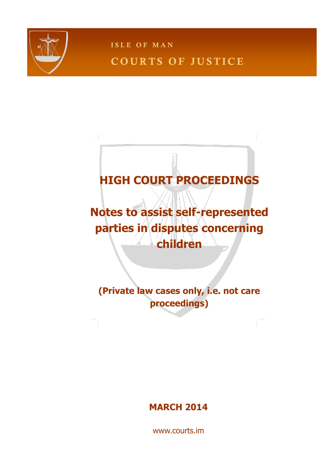

**I S L E O F M A N**

## **COURTS OF JUSTICE**

## **HIGH COURT PROCEEDINGS**

# **Notes to assist self-represented parties in disputes concerning children**

**(Private law cases only, i.e. not care proceedings)**

**MARCH 2014**

www.courts.im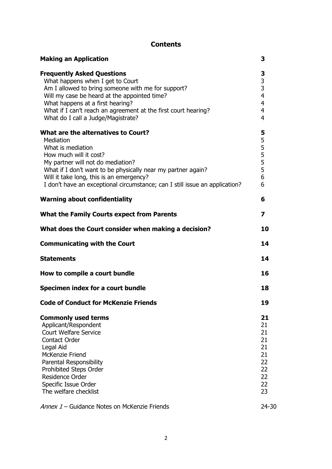## **Contents**

| <b>Making an Application</b>                                                                                                                                                                                                                                                                                                    | 3                                                              |
|---------------------------------------------------------------------------------------------------------------------------------------------------------------------------------------------------------------------------------------------------------------------------------------------------------------------------------|----------------------------------------------------------------|
| <b>Frequently Asked Questions</b><br>What happens when I get to Court<br>Am I allowed to bring someone with me for support?<br>Will my case be heard at the appointed time?<br>What happens at a first hearing?<br>What if I can't reach an agreement at the first court hearing?<br>What do I call a Judge/Magistrate?         | 3<br>$\frac{3}{3}$<br>4<br>4<br>4<br>$\overline{4}$            |
| What are the alternatives to Court?<br>Mediation<br>What is mediation<br>How much will it cost?<br>My partner will not do mediation?<br>What if I don't want to be physically near my partner again?<br>Will it take long, this is an emergency?<br>I don't have an exceptional circumstance; can I still issue an application? | 5<br>5<br>5<br>$\frac{5}{5}$<br>5<br>6<br>6                    |
| <b>Warning about confidentiality</b>                                                                                                                                                                                                                                                                                            | 6                                                              |
| <b>What the Family Courts expect from Parents</b>                                                                                                                                                                                                                                                                               | 7                                                              |
| What does the Court consider when making a decision?                                                                                                                                                                                                                                                                            | 10                                                             |
| <b>Communicating with the Court</b>                                                                                                                                                                                                                                                                                             | 14                                                             |
| <b>Statements</b>                                                                                                                                                                                                                                                                                                               | 14                                                             |
| How to compile a court bundle                                                                                                                                                                                                                                                                                                   | 16                                                             |
| Specimen index for a court bundle                                                                                                                                                                                                                                                                                               | 18                                                             |
| <b>Code of Conduct for McKenzie Friends</b>                                                                                                                                                                                                                                                                                     | 19                                                             |
| <b>Commonly used terms</b><br>Applicant/Respondent<br><b>Court Welfare Service</b><br>Contact Order<br>Legal Aid<br><b>McKenzie Friend</b><br>Parental Responsibility<br>Prohibited Steps Order<br>Residence Order<br>Specific Issue Order<br>The welfare checklist                                                             | 21<br>21<br>21<br>21<br>21<br>21<br>22<br>22<br>22<br>22<br>23 |
| Annex 1 - Guidance Notes on McKenzie Friends                                                                                                                                                                                                                                                                                    | $24 - 30$                                                      |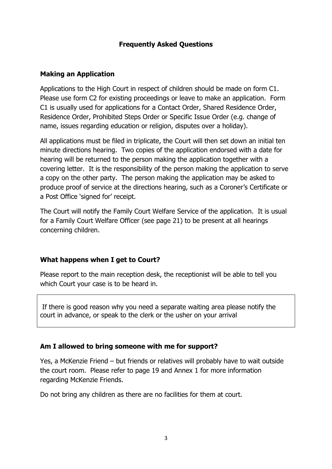## **Frequently Asked Questions**

## **Making an Application**

Applications to the High Court in respect of children should be made on form C1. Please use form C2 for existing proceedings or leave to make an application. Form C1 is usually used for applications for a Contact Order, Shared Residence Order, Residence Order, Prohibited Steps Order or Specific Issue Order (e.g. change of name, issues regarding education or religion, disputes over a holiday).

All applications must be filed in triplicate, the Court will then set down an initial ten minute directions hearing. Two copies of the application endorsed with a date for hearing will be returned to the person making the application together with a covering letter. It is the responsibility of the person making the application to serve a copy on the other party. The person making the application may be asked to produce proof of service at the directions hearing, such as a Coroner's Certificate or a Post Office 'signed for' receipt.

The Court will notify the Family Court Welfare Service of the application. It is usual for a Family Court Welfare Officer (see page 21) to be present at all hearings concerning children.

## **What happens when I get to Court?**

Please report to the main reception desk, the receptionist will be able to tell you which Court your case is to be heard in.

If there is good reason why you need a separate waiting area please notify the court in advance, or speak to the clerk or the usher on your arrival

#### **Am I allowed to bring someone with me for support?**

Yes, a McKenzie Friend – but friends or relatives will probably have to wait outside the court room. Please refer to page 19 and Annex 1 for more information regarding McKenzie Friends.

Do not bring any children as there are no facilities for them at court.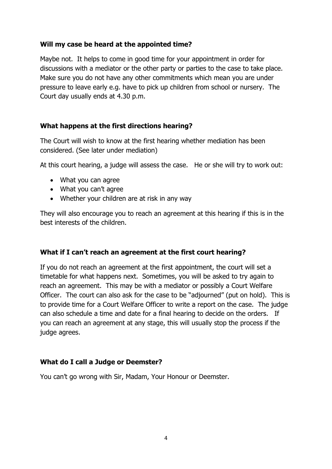## **Will my case be heard at the appointed time?**

Maybe not. It helps to come in good time for your appointment in order for discussions with a mediator or the other party or parties to the case to take place. Make sure you do not have any other commitments which mean you are under pressure to leave early e.g. have to pick up children from school or nursery. The Court day usually ends at 4.30 p.m.

## **What happens at the first directions hearing?**

The Court will wish to know at the first hearing whether mediation has been considered. (See later under mediation)

At this court hearing, a judge will assess the case. He or she will try to work out:

- What you can agree
- What you can't agree
- Whether your children are at risk in any way

They will also encourage you to reach an agreement at this hearing if this is in the best interests of the children.

## **What if I can't reach an agreement at the first court hearing?**

If you do not reach an agreement at the first appointment, the court will set a timetable for what happens next. Sometimes, you will be asked to try again to reach an agreement. This may be with a mediator or possibly a Court Welfare Officer. The court can also ask for the case to be "adjourned" (put on hold). This is to provide time for a Court Welfare Officer to write a report on the case. The judge can also schedule a time and date for a final hearing to decide on the orders. If you can reach an agreement at any stage, this will usually stop the process if the judge agrees.

## **What do I call a Judge or Deemster?**

You can't go wrong with Sir, Madam, Your Honour or Deemster.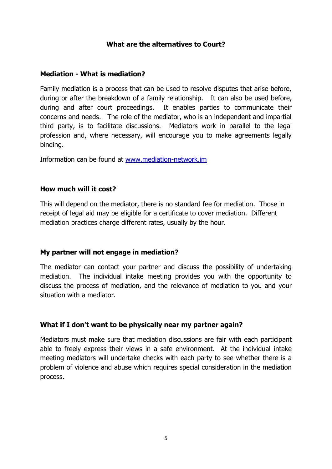## **What are the alternatives to Court?**

#### **Mediation - What is mediation?**

Family mediation is a process that can be used to resolve disputes that arise before, during or after the breakdown of a family relationship. It can also be used before, during and after court proceedings. It enables parties to communicate their concerns and needs. The role of the mediator, who is an independent and impartial third party, is to facilitate discussions. Mediators work in parallel to the legal profession and, where necessary, will encourage you to make agreements legally binding.

Information can be found at [www.mediation-network.im](http://www.mediation-network.im/)

#### **How much will it cost?**

This will depend on the mediator, there is no standard fee for mediation. Those in receipt of legal aid may be eligible for a certificate to cover mediation. Different mediation practices charge different rates, usually by the hour.

#### **My partner will not engage in mediation?**

The mediator can contact your partner and discuss the possibility of undertaking mediation. The individual intake meeting provides you with the opportunity to discuss the process of mediation, and the relevance of mediation to you and your situation with a mediator.

## **What if I don't want to be physically near my partner again?**

Mediators must make sure that mediation discussions are fair with each participant able to freely express their views in a safe environment. At the individual intake meeting mediators will undertake checks with each party to see whether there is a problem of violence and abuse which requires special consideration in the mediation process.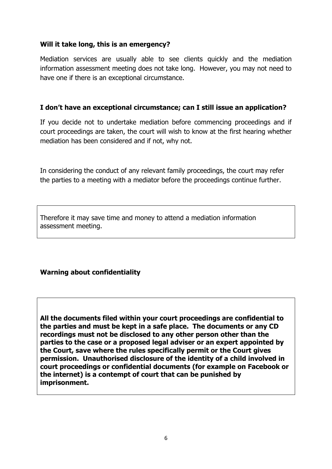## **Will it take long, this is an emergency?**

Mediation services are usually able to see clients quickly and the mediation information assessment meeting does not take long. However, you may not need to have one if there is an exceptional circumstance.

## **I don't have an exceptional circumstance; can I still issue an application?**

If you decide not to undertake mediation before commencing proceedings and if court proceedings are taken, the court will wish to know at the first hearing whether mediation has been considered and if not, why not.

In considering the conduct of any relevant family proceedings, the court may refer the parties to a meeting with a mediator before the proceedings continue further.

Therefore it may save time and money to attend a mediation information assessment meeting.

## **Warning about confidentiality**

**All the documents filed within your court proceedings are confidential to the parties and must be kept in a safe place. The documents or any CD recordings must not be disclosed to any other person other than the parties to the case or a proposed legal adviser or an expert appointed by the Court, save where the rules specifically permit or the Court gives permission. Unauthorised disclosure of the identity of a child involved in court proceedings or confidential documents (for example on Facebook or the internet) is a contempt of court that can be punished by imprisonment.**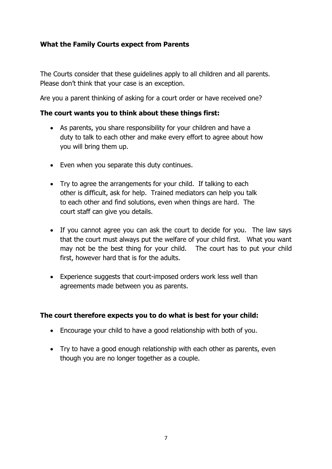## **What the Family Courts expect from Parents**

The Courts consider that these guidelines apply to all children and all parents. Please don't think that your case is an exception.

Are you a parent thinking of asking for a court order or have received one?

## **The court wants you to think about these things first:**

- As parents, you share responsibility for your children and have a duty to talk to each other and make every effort to agree about how you will bring them up.
- Even when you separate this duty continues.
- Try to agree the arrangements for your child. If talking to each other is difficult, ask for help. Trained mediators can help you talk to each other and find solutions, even when things are hard. The court staff can give you details.
- If you cannot agree you can ask the court to decide for you. The law says that the court must always put the welfare of your child first. What you want may not be the best thing for your child. The court has to put your child first, however hard that is for the adults.
- Experience suggests that court-imposed orders work less well than agreements made between you as parents.

## **The court therefore expects you to do what is best for your child:**

- Encourage your child to have a good relationship with both of you.
- Try to have a good enough relationship with each other as parents, even though you are no longer together as a couple.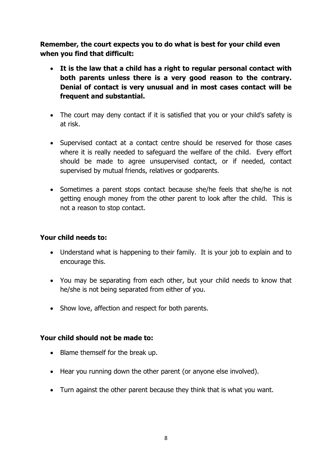**Remember, the court expects you to do what is best for your child even when you find that difficult:**

- **It is the law that a child has a right to regular personal contact with both parents unless there is a very good reason to the contrary. Denial of contact is very unusual and in most cases contact will be frequent and substantial.**
- The court may deny contact if it is satisfied that you or your child's safety is at risk.
- Supervised contact at a contact centre should be reserved for those cases where it is really needed to safeguard the welfare of the child. Every effort should be made to agree unsupervised contact, or if needed, contact supervised by mutual friends, relatives or godparents.
- Sometimes a parent stops contact because she/he feels that she/he is not getting enough money from the other parent to look after the child. This is not a reason to stop contact.

## **Your child needs to:**

- Understand what is happening to their family. It is your job to explain and to encourage this.
- You may be separating from each other, but your child needs to know that he/she is not being separated from either of you.
- Show love, affection and respect for both parents.

## **Your child should not be made to:**

- Blame themself for the break up.
- Hear you running down the other parent (or anyone else involved).
- Turn against the other parent because they think that is what you want.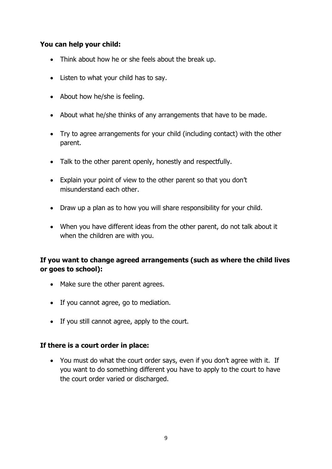## **You can help your child:**

- Think about how he or she feels about the break up.
- Listen to what your child has to say.
- About how he/she is feeling.
- About what he/she thinks of any arrangements that have to be made.
- Try to agree arrangements for your child (including contact) with the other parent.
- Talk to the other parent openly, honestly and respectfully.
- Explain your point of view to the other parent so that you don't misunderstand each other.
- Draw up a plan as to how you will share responsibility for your child.
- When you have different ideas from the other parent, do not talk about it when the children are with you.

## **If you want to change agreed arrangements (such as where the child lives or goes to school):**

- Make sure the other parent agrees.
- If you cannot agree, go to mediation.
- If you still cannot agree, apply to the court.

## **If there is a court order in place:**

• You must do what the court order says, even if you don't agree with it. If you want to do something different you have to apply to the court to have the court order varied or discharged.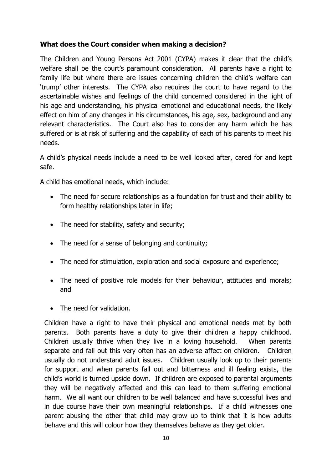## **What does the Court consider when making a decision?**

The Children and Young Persons Act 2001 (CYPA) makes it clear that the child's welfare shall be the court's paramount consideration. All parents have a right to family life but where there are issues concerning children the child's welfare can 'trump' other interests. The CYPA also requires the court to have regard to the ascertainable wishes and feelings of the child concerned considered in the light of his age and understanding, his physical emotional and educational needs, the likely effect on him of any changes in his circumstances, his age, sex, background and any relevant characteristics. The Court also has to consider any harm which he has suffered or is at risk of suffering and the capability of each of his parents to meet his needs.

A child's physical needs include a need to be well looked after, cared for and kept safe.

A child has emotional needs, which include:

- The need for secure relationships as a foundation for trust and their ability to form healthy relationships later in life;
- The need for stability, safety and security;
- The need for a sense of belonging and continuity;
- The need for stimulation, exploration and social exposure and experience;
- The need of positive role models for their behaviour, attitudes and morals; and
- The need for validation.

Children have a right to have their physical and emotional needs met by both parents. Both parents have a duty to give their children a happy childhood. Children usually thrive when they live in a loving household. When parents separate and fall out this very often has an adverse affect on children. Children usually do not understand adult issues. Children usually look up to their parents for support and when parents fall out and bitterness and ill feeling exists, the child's world is turned upside down. If children are exposed to parental arguments they will be negatively affected and this can lead to them suffering emotional harm. We all want our children to be well balanced and have successful lives and in due course have their own meaningful relationships. If a child witnesses one parent abusing the other that child may grow up to think that it is how adults behave and this will colour how they themselves behave as they get older.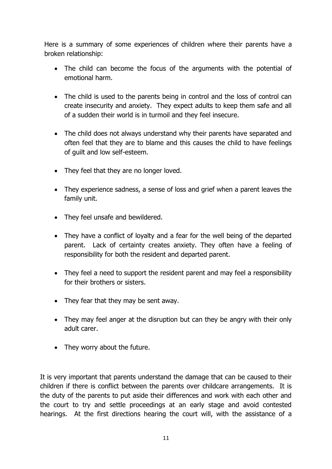Here is a summary of some experiences of children where their parents have a broken relationship:

- The child can become the focus of the arguments with the potential of emotional harm.
- The child is used to the parents being in control and the loss of control can create insecurity and anxiety. They expect adults to keep them safe and all of a sudden their world is in turmoil and they feel insecure.
- The child does not always understand why their parents have separated and often feel that they are to blame and this causes the child to have feelings of guilt and low self-esteem.
- They feel that they are no longer loved.
- They experience sadness, a sense of loss and grief when a parent leaves the family unit.
- They feel unsafe and bewildered.
- They have a conflict of loyalty and a fear for the well being of the departed parent. Lack of certainty creates anxiety. They often have a feeling of responsibility for both the resident and departed parent.
- They feel a need to support the resident parent and may feel a responsibility for their brothers or sisters.
- They fear that they may be sent away.
- They may feel anger at the disruption but can they be angry with their only adult carer.
- They worry about the future.

It is very important that parents understand the damage that can be caused to their children if there is conflict between the parents over childcare arrangements. It is the duty of the parents to put aside their differences and work with each other and the court to try and settle proceedings at an early stage and avoid contested hearings. At the first directions hearing the court will, with the assistance of a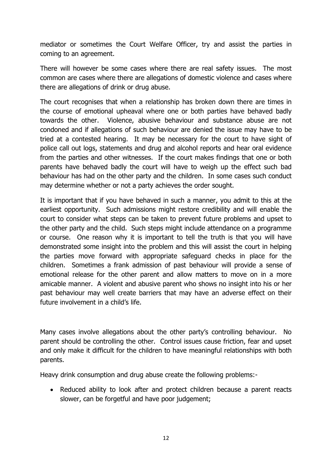mediator or sometimes the Court Welfare Officer, try and assist the parties in coming to an agreement.

There will however be some cases where there are real safety issues. The most common are cases where there are allegations of domestic violence and cases where there are allegations of drink or drug abuse.

The court recognises that when a relationship has broken down there are times in the course of emotional upheaval where one or both parties have behaved badly towards the other. Violence, abusive behaviour and substance abuse are not condoned and if allegations of such behaviour are denied the issue may have to be tried at a contested hearing. It may be necessary for the court to have sight of police call out logs, statements and drug and alcohol reports and hear oral evidence from the parties and other witnesses. If the court makes findings that one or both parents have behaved badly the court will have to weigh up the effect such bad behaviour has had on the other party and the children. In some cases such conduct may determine whether or not a party achieves the order sought.

It is important that if you have behaved in such a manner, you admit to this at the earliest opportunity. Such admissions might restore credibility and will enable the court to consider what steps can be taken to prevent future problems and upset to the other party and the child. Such steps might include attendance on a programme or course. One reason why it is important to tell the truth is that you will have demonstrated some insight into the problem and this will assist the court in helping the parties move forward with appropriate safeguard checks in place for the children. Sometimes a frank admission of past behaviour will provide a sense of emotional release for the other parent and allow matters to move on in a more amicable manner. A violent and abusive parent who shows no insight into his or her past behaviour may well create barriers that may have an adverse effect on their future involvement in a child's life.

Many cases involve allegations about the other party's controlling behaviour. No parent should be controlling the other. Control issues cause friction, fear and upset and only make it difficult for the children to have meaningful relationships with both parents.

Heavy drink consumption and drug abuse create the following problems:-

• Reduced ability to look after and protect children because a parent reacts slower, can be forgetful and have poor judgement;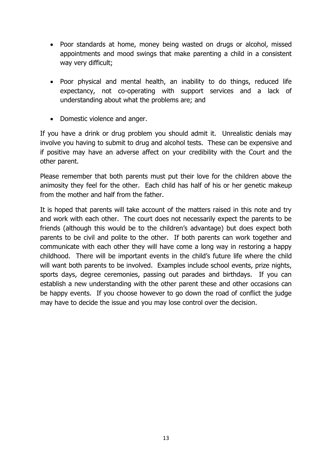- Poor standards at home, money being wasted on drugs or alcohol, missed appointments and mood swings that make parenting a child in a consistent way very difficult;
- Poor physical and mental health, an inability to do things, reduced life expectancy, not co-operating with support services and a lack of understanding about what the problems are; and
- Domestic violence and anger.

If you have a drink or drug problem you should admit it. Unrealistic denials may involve you having to submit to drug and alcohol tests. These can be expensive and if positive may have an adverse affect on your credibility with the Court and the other parent.

Please remember that both parents must put their love for the children above the animosity they feel for the other. Each child has half of his or her genetic makeup from the mother and half from the father.

It is hoped that parents will take account of the matters raised in this note and try and work with each other. The court does not necessarily expect the parents to be friends (although this would be to the children's advantage) but does expect both parents to be civil and polite to the other. If both parents can work together and communicate with each other they will have come a long way in restoring a happy childhood. There will be important events in the child's future life where the child will want both parents to be involved. Examples include school events, prize nights, sports days, degree ceremonies, passing out parades and birthdays. If you can establish a new understanding with the other parent these and other occasions can be happy events. If you choose however to go down the road of conflict the judge may have to decide the issue and you may lose control over the decision.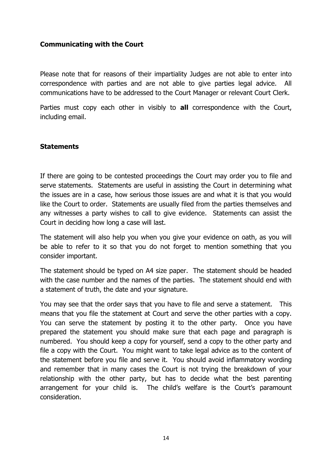## **Communicating with the Court**

Please note that for reasons of their impartiality Judges are not able to enter into correspondence with parties and are not able to give parties legal advice. All communications have to be addressed to the Court Manager or relevant Court Clerk.

Parties must copy each other in visibly to **all** correspondence with the Court, including email.

## **Statements**

If there are going to be contested proceedings the Court may order you to file and serve statements. Statements are useful in assisting the Court in determining what the issues are in a case, how serious those issues are and what it is that you would like the Court to order. Statements are usually filed from the parties themselves and any witnesses a party wishes to call to give evidence. Statements can assist the Court in deciding how long a case will last.

The statement will also help you when you give your evidence on oath, as you will be able to refer to it so that you do not forget to mention something that you consider important.

The statement should be typed on A4 size paper. The statement should be headed with the case number and the names of the parties. The statement should end with a statement of truth, the date and your signature.

You may see that the order says that you have to file and serve a statement. This means that you file the statement at Court and serve the other parties with a copy. You can serve the statement by posting it to the other party. Once you have prepared the statement you should make sure that each page and paragraph is numbered. You should keep a copy for yourself, send a copy to the other party and file a copy with the Court. You might want to take legal advice as to the content of the statement before you file and serve it. You should avoid inflammatory wording and remember that in many cases the Court is not trying the breakdown of your relationship with the other party, but has to decide what the best parenting arrangement for your child is. The child's welfare is the Court's paramount consideration.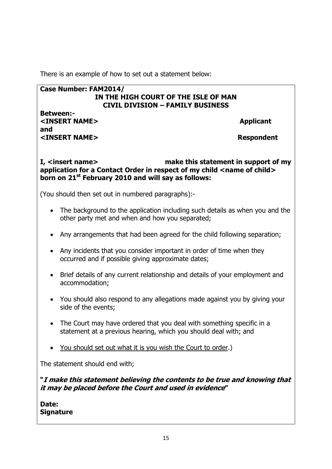There is an example of how to set out a statement below:

## **Case Number: FAM2014/ IN THE HIGH COURT OF THE ISLE OF MAN CIVIL DIVISION – FAMILY BUSINESS**

**Between:-** <INSERT NAME>
Applicant **and <INSERT NAME> Respondent**

## **I, <insert name> make this statement in support of my application for a Contact Order in respect of my child <name of child> born on 21st February 2010 and will say as follows:**

(You should then set out in numbered paragraphs):-

- The background to the application including such details as when you and the other party met and when and how you separated;
- Any arrangements that had been agreed for the child following separation;
- Any incidents that you consider important in order of time when they occurred and if possible giving approximate dates;
- Brief details of any current relationship and details of your employment and accommodation;
- You should also respond to any allegations made against you by giving your side of the events;
- The Court may have ordered that you deal with something specific in a statement at a previous hearing, which you should deal with; and
- You should set out what it is you wish the Court to order.)

The statement should end with;

**"I make this statement believing the contents to be true and knowing that it may be placed before the Court and used in evidence"**

**Date: Signature**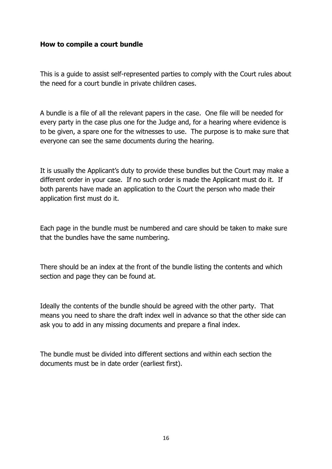#### **How to compile a court bundle**

This is a guide to assist self-represented parties to comply with the Court rules about the need for a court bundle in private children cases.

A bundle is a file of all the relevant papers in the case. One file will be needed for every party in the case plus one for the Judge and, for a hearing where evidence is to be given, a spare one for the witnesses to use. The purpose is to make sure that everyone can see the same documents during the hearing.

It is usually the Applicant's duty to provide these bundles but the Court may make a different order in your case. If no such order is made the Applicant must do it. If both parents have made an application to the Court the person who made their application first must do it.

Each page in the bundle must be numbered and care should be taken to make sure that the bundles have the same numbering.

There should be an index at the front of the bundle listing the contents and which section and page they can be found at.

Ideally the contents of the bundle should be agreed with the other party. That means you need to share the draft index well in advance so that the other side can ask you to add in any missing documents and prepare a final index.

The bundle must be divided into different sections and within each section the documents must be in date order (earliest first).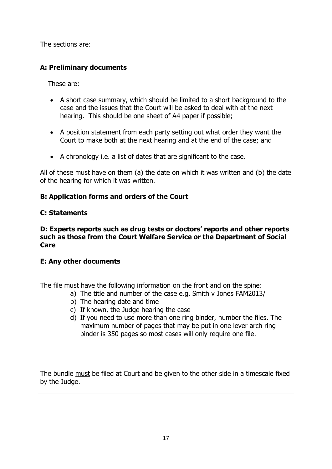The sections are:

## **A: Preliminary documents**

These are:

- A short case summary, which should be limited to a short background to the case and the issues that the Court will be asked to deal with at the next hearing. This should be one sheet of A4 paper if possible;
- A position statement from each party setting out what order they want the Court to make both at the next hearing and at the end of the case; and
- A chronology i.e. a list of dates that are significant to the case.

All of these must have on them (a) the date on which it was written and (b) the date of the hearing for which it was written.

## **B: Application forms and orders of the Court**

## **C: Statements**

**D: Experts reports such as drug tests or doctors' reports and other reports such as those from the Court Welfare Service or the Department of Social Care**

## **E: Any other documents**

The file must have the following information on the front and on the spine:

- a) The title and number of the case e.g. Smith v Jones FAM2013/
- b) The hearing date and time
- c) If known, the Judge hearing the case
- d) If you need to use more than one ring binder, number the files. The maximum number of pages that may be put in one lever arch ring binder is 350 pages so most cases will only require one file.

The bundle must be filed at Court and be given to the other side in a timescale fixed by the Judge.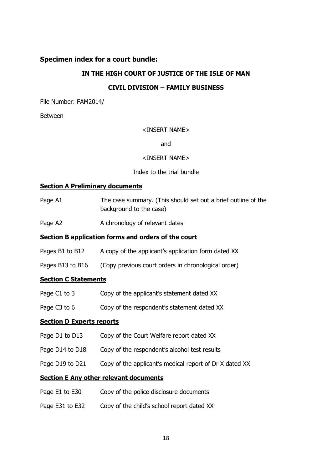#### **Specimen index for a court bundle:**

#### **IN THE HIGH COURT OF JUSTICE OF THE ISLE OF MAN**

#### **CIVIL DIVISION – FAMILY BUSINESS**

File Number: FAM2014/

Between

<INSERT NAME>

and

<INSERT NAME>

#### Index to the trial bundle

#### **Section A Preliminary documents**

- Page A1 The case summary. (This should set out a brief outline of the background to the case)
- Page A2 A chronology of relevant dates

#### **Section B application forms and orders of the court**

- Pages B1 to B12 A copy of the applicant's application form dated XX
- Pages B13 to B16 (Copy previous court orders in chronological order)

#### **Section C Statements**

- Page C1 to 3 Copy of the applicant's statement dated XX
- Page C3 to 6 Copy of the respondent's statement dated XX

#### **Section D Experts reports**

- Page D1 to D13 Copy of the Court Welfare report dated XX
- Page D14 to D18 Copy of the respondent's alcohol test results
- Page D19 to D21 Copy of the applicant's medical report of Dr X dated XX

#### **Section E Any other relevant documents**

- Page E1 to E30 Copy of the police disclosure documents
- Page E31 to E32 Copy of the child's school report dated XX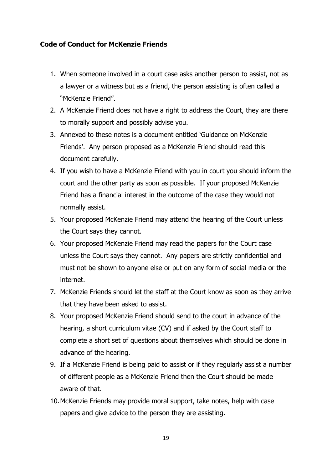## **Code of Conduct for McKenzie Friends**

- 1. When someone involved in a court case asks another person to assist, not as a lawyer or a witness but as a friend, the person assisting is often called a "McKenzie Friend".
- 2. A McKenzie Friend does not have a right to address the Court, they are there to morally support and possibly advise you.
- 3. Annexed to these notes is a document entitled 'Guidance on McKenzie Friends'. Any person proposed as a McKenzie Friend should read this document carefully.
- 4. If you wish to have a McKenzie Friend with you in court you should inform the court and the other party as soon as possible. If your proposed McKenzie Friend has a financial interest in the outcome of the case they would not normally assist.
- 5. Your proposed McKenzie Friend may attend the hearing of the Court unless the Court says they cannot.
- 6. Your proposed McKenzie Friend may read the papers for the Court case unless the Court says they cannot. Any papers are strictly confidential and must not be shown to anyone else or put on any form of social media or the internet.
- 7. McKenzie Friends should let the staff at the Court know as soon as they arrive that they have been asked to assist.
- 8. Your proposed McKenzie Friend should send to the court in advance of the hearing, a short curriculum vitae (CV) and if asked by the Court staff to complete a short set of questions about themselves which should be done in advance of the hearing.
- 9. If a McKenzie Friend is being paid to assist or if they regularly assist a number of different people as a McKenzie Friend then the Court should be made aware of that.
- 10.McKenzie Friends may provide moral support, take notes, help with case papers and give advice to the person they are assisting.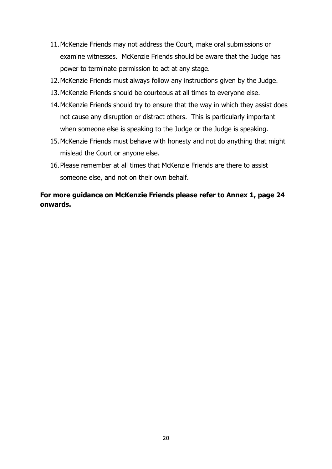- 11.McKenzie Friends may not address the Court, make oral submissions or examine witnesses. McKenzie Friends should be aware that the Judge has power to terminate permission to act at any stage.
- 12.McKenzie Friends must always follow any instructions given by the Judge.
- 13.McKenzie Friends should be courteous at all times to everyone else.
- 14.McKenzie Friends should try to ensure that the way in which they assist does not cause any disruption or distract others. This is particularly important when someone else is speaking to the Judge or the Judge is speaking.
- 15.McKenzie Friends must behave with honesty and not do anything that might mislead the Court or anyone else.
- 16.Please remember at all times that McKenzie Friends are there to assist someone else, and not on their own behalf.

## **For more guidance on McKenzie Friends please refer to Annex 1, page 24 onwards.**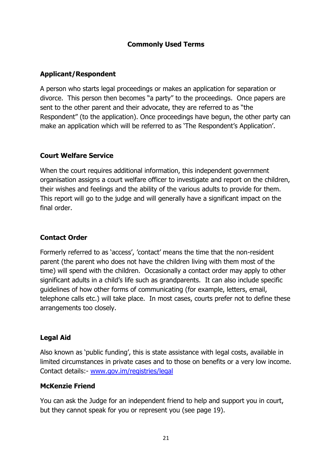## **Commonly Used Terms**

## **Applicant/Respondent**

A person who starts legal proceedings or makes an application for separation or divorce. This person then becomes "a party" to the proceedings. Once papers are sent to the other parent and their advocate, they are referred to as "the Respondent" (to the application). Once proceedings have begun, the other party can make an application which will be referred to as 'The Respondent's Application'.

#### **Court Welfare Service**

When the court requires additional information, this independent government organisation assigns a court welfare officer to investigate and report on the children, their wishes and feelings and the ability of the various adults to provide for them. This report will go to the judge and will generally have a significant impact on the final order.

## **Contact Order**

Formerly referred to as 'access', 'contact' means the time that the non-resident parent (the parent who does not have the children living with them most of the time) will spend with the children. Occasionally a contact order may apply to other significant adults in a child's life such as grandparents. It can also include specific guidelines of how other forms of communicating (for example, letters, email, telephone calls etc.) will take place. In most cases, courts prefer not to define these arrangements too closely.

## **Legal Aid**

Also known as 'public funding', this is state assistance with legal costs, available in limited circumstances in private cases and to those on benefits or a very low income. Contact details:- [www.gov.im/registries/legal](http://www.gov.im/registries/legal)

## **McKenzie Friend**

You can ask the Judge for an independent friend to help and support you in court, but they cannot speak for you or represent you (see page 19).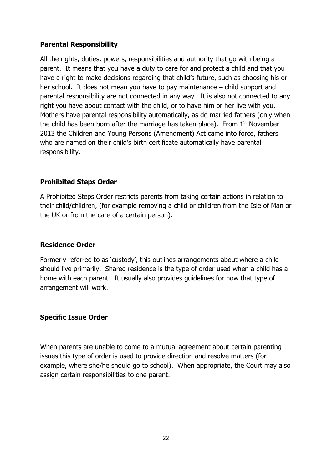## **Parental Responsibility**

All the rights, duties, powers, responsibilities and authority that go with being a parent. It means that you have a duty to care for and protect a child and that you have a right to make decisions regarding that child's future, such as choosing his or her school. It does not mean you have to pay maintenance – child support and parental responsibility are not connected in any way. It is also not connected to any right you have about contact with the child, or to have him or her live with you. Mothers have parental responsibility automatically, as do married fathers (only when the child has been born after the marriage has taken place). From  $1<sup>st</sup>$  November 2013 the Children and Young Persons (Amendment) Act came into force, fathers who are named on their child's birth certificate automatically have parental responsibility.

## **Prohibited Steps Order**

A Prohibited Steps Order restricts parents from taking certain actions in relation to their child/children, (for example removing a child or children from the Isle of Man or the UK or from the care of a certain person).

## **Residence Order**

Formerly referred to as 'custody', this outlines arrangements about where a child should live primarily. Shared residence is the type of order used when a child has a home with each parent. It usually also provides guidelines for how that type of arrangement will work.

## **Specific Issue Order**

When parents are unable to come to a mutual agreement about certain parenting issues this type of order is used to provide direction and resolve matters (for example, where she/he should go to school). When appropriate, the Court may also assign certain responsibilities to one parent.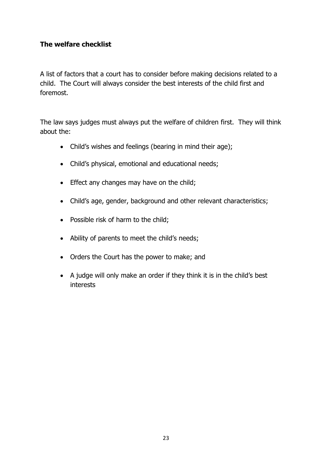## **The welfare checklist**

A list of factors that a court has to consider before making decisions related to a child. The Court will always consider the best interests of the child first and foremost.

The law says judges must always put the welfare of children first. They will think about the:

- Child's wishes and feelings (bearing in mind their age);
- Child's physical, emotional and educational needs;
- Effect any changes may have on the child;
- Child's age, gender, background and other relevant characteristics;
- Possible risk of harm to the child;
- Ability of parents to meet the child's needs;
- Orders the Court has the power to make; and
- A judge will only make an order if they think it is in the child's best interests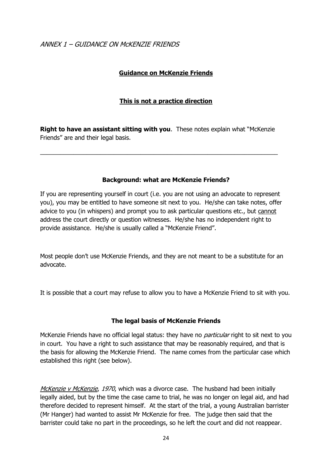ANNEX 1 – GUIDANCE ON McKENZIE FRIENDS

## **Guidance on McKenzie Friends**

## **This is not a practice direction**

**Right to have an assistant sitting with you**. These notes explain what "McKenzie Friends" are and their legal basis.

 $\_$  , and the set of the set of the set of the set of the set of the set of the set of the set of the set of the set of the set of the set of the set of the set of the set of the set of the set of the set of the set of th

#### **Background: what are McKenzie Friends?**

If you are representing yourself in court (i.e. you are not using an advocate to represent you), you may be entitled to have someone sit next to you. He/she can take notes, offer advice to you (in whispers) and prompt you to ask particular questions etc., but cannot address the court directly or question witnesses. He/she has no independent right to provide assistance. He/she is usually called a "McKenzie Friend".

Most people don't use McKenzie Friends, and they are not meant to be a substitute for an advocate.

It is possible that a court may refuse to allow you to have a McKenzie Friend to sit with you.

#### **The legal basis of McKenzie Friends**

McKenzie Friends have no official legal status: they have no *particular* right to sit next to you in court. You have a right to such assistance that may be reasonably required, and that is the basis for allowing the McKenzie Friend. The name comes from the particular case which established this right (see below).

McKenzie v McKenzie, 1970, which was a divorce case. The husband had been initially legally aided, but by the time the case came to trial, he was no longer on legal aid, and had therefore decided to represent himself. At the start of the trial, a young Australian barrister (Mr Hanger) had wanted to assist Mr McKenzie for free. The judge then said that the barrister could take no part in the proceedings, so he left the court and did not reappear.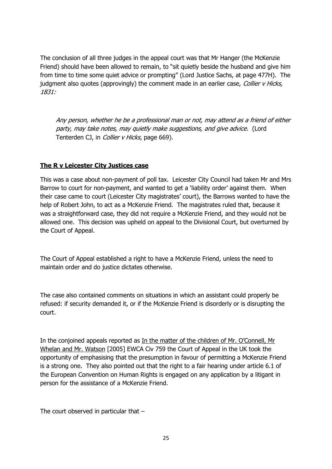The conclusion of all three judges in the appeal court was that Mr Hanger (the McKenzie Friend) should have been allowed to remain, to "sit quietly beside the husband and give him from time to time some quiet advice or prompting" (Lord Justice Sachs, at page 477H). The judgment also quotes (approvingly) the comment made in an earlier case, Collier v Hicks, 1831:

Any person, whether he be a professional man or not, may attend as a friend of either party, may take notes, may quietly make suggestions, and give advice. (Lord Tenterden CJ, in Collier v Hicks, page 669).

## **The R v Leicester City Justices case**

This was a case about non-payment of poll tax. Leicester City Council had taken Mr and Mrs Barrow to court for non-payment, and wanted to get a 'liability order' against them. When their case came to court (Leicester City magistrates' court), the Barrows wanted to have the help of Robert John, to act as a McKenzie Friend. The magistrates ruled that, because it was a straightforward case, they did not require a McKenzie Friend, and they would not be allowed one. This decision was upheld on appeal to the Divisional Court, but overturned by the Court of Appeal.

The Court of Appeal established a right to have a McKenzie Friend, unless the need to maintain order and do justice dictates otherwise.

The case also contained comments on situations in which an assistant could properly be refused: if security demanded it, or if the McKenzie Friend is disorderly or is disrupting the court.

In the conjoined appeals reported as In the matter of the children of Mr. O'Connell, Mr Whelan and Mr. Watson [2005] EWCA Civ 759 the Court of Appeal in the UK took the opportunity of emphasising that the presumption in favour of permitting a McKenzie Friend is a strong one. They also pointed out that the right to a fair hearing under article 6.1 of the European Convention on Human Rights is engaged on any application by a litigant in person for the assistance of a McKenzie Friend.

The court observed in particular that  $-$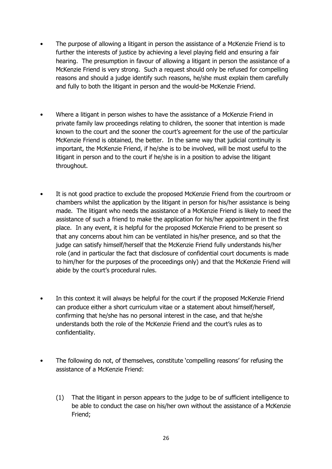- The purpose of allowing a litigant in person the assistance of a McKenzie Friend is to further the interests of justice by achieving a level playing field and ensuring a fair hearing. The presumption in favour of allowing a litigant in person the assistance of a McKenzie Friend is very strong. Such a request should only be refused for compelling reasons and should a judge identify such reasons, he/she must explain them carefully and fully to both the litigant in person and the would-be McKenzie Friend.
- Where a litigant in person wishes to have the assistance of a McKenzie Friend in private family law proceedings relating to children, the sooner that intention is made known to the court and the sooner the court's agreement for the use of the particular McKenzie Friend is obtained, the better. In the same way that judicial continuity is important, the McKenzie Friend, if he/she is to be involved, will be most useful to the litigant in person and to the court if he/she is in a position to advise the litigant throughout.
- It is not good practice to exclude the proposed McKenzie Friend from the courtroom or chambers whilst the application by the litigant in person for his/her assistance is being made. The litigant who needs the assistance of a McKenzie Friend is likely to need the assistance of such a friend to make the application for his/her appointment in the first place. In any event, it is helpful for the proposed McKenzie Friend to be present so that any concerns about him can be ventilated in his/her presence, and so that the judge can satisfy himself/herself that the McKenzie Friend fully understands his/her role (and in particular the fact that disclosure of confidential court documents is made to him/her for the purposes of the proceedings only) and that the McKenzie Friend will abide by the court's procedural rules.
- In this context it will always be helpful for the court if the proposed McKenzie Friend can produce either a short curriculum vitae or a statement about himself/herself, confirming that he/she has no personal interest in the case, and that he/she understands both the role of the McKenzie Friend and the court's rules as to confidentiality.
- The following do not, of themselves, constitute 'compelling reasons' for refusing the assistance of a McKenzie Friend:
	- (1) That the litigant in person appears to the judge to be of sufficient intelligence to be able to conduct the case on his/her own without the assistance of a McKenzie Friend;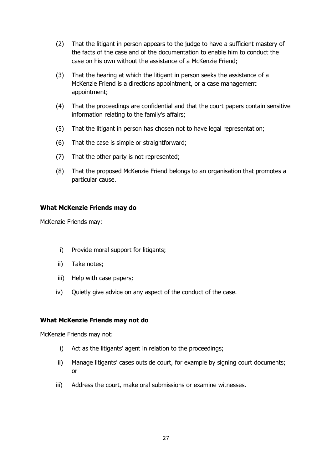- (2) That the litigant in person appears to the judge to have a sufficient mastery of the facts of the case and of the documentation to enable him to conduct the case on his own without the assistance of a McKenzie Friend;
- (3) That the hearing at which the litigant in person seeks the assistance of a McKenzie Friend is a directions appointment, or a case management appointment;
- (4) That the proceedings are confidential and that the court papers contain sensitive information relating to the family's affairs;
- (5) That the litigant in person has chosen not to have legal representation;
- (6) That the case is simple or straightforward;
- (7) That the other party is not represented;
- (8) That the proposed McKenzie Friend belongs to an organisation that promotes a particular cause.

#### **What McKenzie Friends may do**

McKenzie Friends may:

- i) Provide moral support for litigants;
- ii) Take notes;
- iii) Help with case papers;
- iv) Quietly give advice on any aspect of the conduct of the case.

#### **What McKenzie Friends may not do**

McKenzie Friends may not:

- i) Act as the litigants' agent in relation to the proceedings;
- ii) Manage litigants' cases outside court, for example by signing court documents; or
- iii) Address the court, make oral submissions or examine witnesses.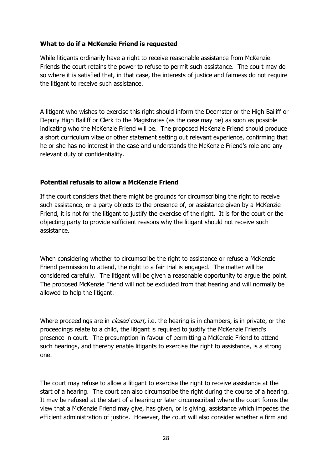#### **What to do if a McKenzie Friend is requested**

While litigants ordinarily have a right to receive reasonable assistance from McKenzie Friends the court retains the power to refuse to permit such assistance. The court may do so where it is satisfied that, in that case, the interests of justice and fairness do not require the litigant to receive such assistance.

A litigant who wishes to exercise this right should inform the Deemster or the High Bailiff or Deputy High Bailiff or Clerk to the Magistrates (as the case may be) as soon as possible indicating who the McKenzie Friend will be. The proposed McKenzie Friend should produce a short curriculum vitae or other statement setting out relevant experience, confirming that he or she has no interest in the case and understands the McKenzie Friend's role and any relevant duty of confidentiality.

#### **Potential refusals to allow a McKenzie Friend**

If the court considers that there might be grounds for circumscribing the right to receive such assistance, or a party objects to the presence of, or assistance given by a McKenzie Friend, it is not for the litigant to justify the exercise of the right. It is for the court or the objecting party to provide sufficient reasons why the litigant should not receive such assistance.

When considering whether to circumscribe the right to assistance or refuse a McKenzie Friend permission to attend, the right to a fair trial is engaged. The matter will be considered carefully. The litigant will be given a reasonable opportunity to argue the point. The proposed McKenzie Friend will not be excluded from that hearing and will normally be allowed to help the litigant.

Where proceedings are in *closed court*, i.e. the hearing is in chambers, is in private, or the proceedings relate to a child, the litigant is required to justify the McKenzie Friend's presence in court. The presumption in favour of permitting a McKenzie Friend to attend such hearings, and thereby enable litigants to exercise the right to assistance, is a strong one.

The court may refuse to allow a litigant to exercise the right to receive assistance at the start of a hearing. The court can also circumscribe the right during the course of a hearing. It may be refused at the start of a hearing or later circumscribed where the court forms the view that a McKenzie Friend may give, has given, or is giving, assistance which impedes the efficient administration of justice. However, the court will also consider whether a firm and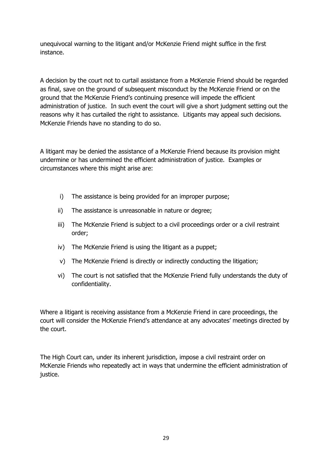unequivocal warning to the litigant and/or McKenzie Friend might suffice in the first instance.

A decision by the court not to curtail assistance from a McKenzie Friend should be regarded as final, save on the ground of subsequent misconduct by the McKenzie Friend or on the ground that the McKenzie Friend's continuing presence will impede the efficient administration of justice. In such event the court will give a short judgment setting out the reasons why it has curtailed the right to assistance. Litigants may appeal such decisions. McKenzie Friends have no standing to do so.

A litigant may be denied the assistance of a McKenzie Friend because its provision might undermine or has undermined the efficient administration of justice. Examples or circumstances where this might arise are:

- i) The assistance is being provided for an improper purpose;
- ii) The assistance is unreasonable in nature or degree;
- iii) The McKenzie Friend is subject to a civil proceedings order or a civil restraint order;
- iv) The McKenzie Friend is using the litigant as a puppet;
- v) The McKenzie Friend is directly or indirectly conducting the litigation;
- vi) The court is not satisfied that the McKenzie Friend fully understands the duty of confidentiality.

Where a litigant is receiving assistance from a McKenzie Friend in care proceedings, the court will consider the McKenzie Friend's attendance at any advocates' meetings directed by the court.

The High Court can, under its inherent jurisdiction, impose a civil restraint order on McKenzie Friends who repeatedly act in ways that undermine the efficient administration of justice.